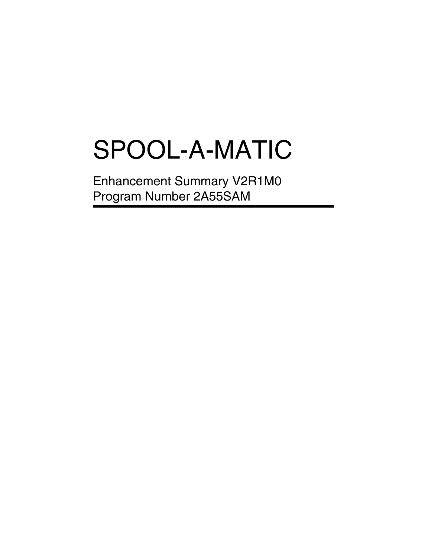# SPOOL-A-MATIC

Enhancement Summary V2R1M0 Program Number 2A55SAM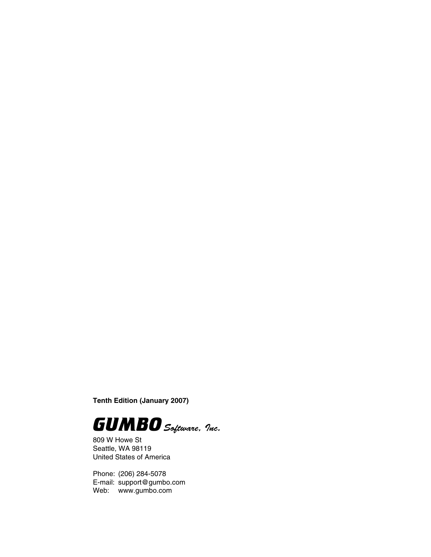**Tenth Edition (January 2007)**



809 W Howe St Seattle, WA 98119 United States of America

Phone: (206) 284-5078 E-mail: support@gumbo.com Web: www.gumbo.com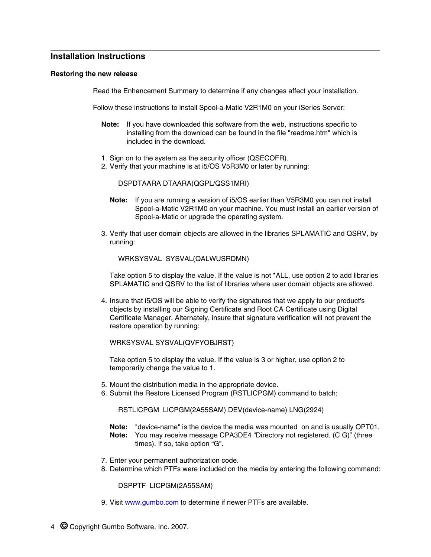# **Installation Instructions**

#### **Restoring the new release**

Read the Enhancement Summary to determine if any changes affect your installation.

Follow these instructions to install Spool-a-Matic V2R1M0 on your iSeries Server:

- **Note:** If you have downloaded this software from the web, instructions specific to installing from the download can be found in the file "readme.htm" which is included in the download.
- 1. Sign on to the system as the security officer (QSECOFR).
- 2. Verify that your machine is at i5/OS V5R3M0 or later by running:

DSPDTAARA DTAARA(QGPL/QSS1MRI)

- **Note:** If you are running a version of i5/OS earlier than V5R3M0 you can not install Spool-a-Matic V2R1M0 on your machine. You must install an earlier version of Spool-a-Matic or upgrade the operating system.
- 3. Verify that user domain objects are allowed in the libraries SPLAMATIC and QSRV, by running:

WRKSYSVAL SYSVAL(QALWUSRDMN)

Take option 5 to display the value. If the value is not \*ALL, use option 2 to add libraries SPLAMATIC and QSRV to the list of libraries where user domain objects are allowed.

4. Insure that i5/OS will be able to verify the signatures that we apply to our product's objects by installing our Signing Certificate and Root CA Certificate using Digital Certificate Manager. Alternately, insure that signature verification will not prevent the restore operation by running:

WRKSYSVAL SYSVAL(QVFYOBJRST)

Take option 5 to display the value. If the value is 3 or higher, use option 2 to temporarily change the value to 1.

- 5. Mount the distribution media in the appropriate device.
- 6. Submit the Restore Licensed Program (RSTLICPGM) command to batch:

RSTLICPGM LICPGM(2A55SAM) DEV(device-name) LNG(2924)

- **Note:** "device-name" is the device the media was mounted on and is usually OPT01. **Note:** You may receive message CPA3DE4 "Directory not registered. (C G)" (three times). If so, take option "G".
- 7. Enter your permanent authorization code.
- 8. Determine which PTFs were included on the media by entering the following command:

DSPPTF LICPGM(2A55SAM)

9. Visit www.gumbo.com to determine if newer PTFs are available.

4 **©** Copyright Gumbo Software, Inc. 2007.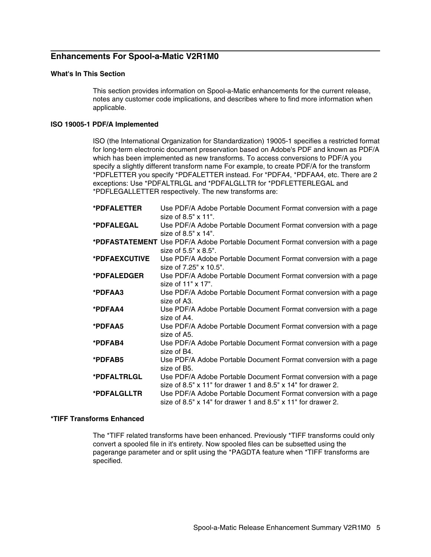# **Enhancements For Spool-a-Matic V2R1M0**

## **What's In This Section**

This section provides information on Spool-a-Matic enhancements for the current release, notes any customer code implications, and describes where to find more information when applicable.

# **ISO 19005-1 PDF/A Implemented**

ISO (the International Organization for Standardization) 19005-1 specifies a restricted format for long-term electronic document preservation based on Adobe's PDF and known as PDF/A which has been implemented as new transforms. To access conversions to PDF/A you specify a slightly different transform name For example, to create PDF/A for the transform \*PDFLETTER you specify \*PDFALETTER instead. For \*PDFA4, \*PDFAA4, etc. There are 2 exceptions: Use \*PDFALTRLGL and \*PDFALGLLTR for \*PDFLETTERLEGAL and \*PDFLEGALLETTER respectively. The new transforms are:

| *PDFALETTER   | Use PDF/A Adobe Portable Document Format conversion with a page                |
|---------------|--------------------------------------------------------------------------------|
|               | size of $8.5" \times 11"$ .                                                    |
| *PDFALEGAL    | Use PDF/A Adobe Portable Document Format conversion with a page                |
|               | size of $8.5" \times 14"$ .                                                    |
|               | *PDFASTATEMENT Use PDF/A Adobe Portable Document Format conversion with a page |
|               | size of $5.5" \times 8.5"$ .                                                   |
| *PDFAEXCUTIVE | Use PDF/A Adobe Portable Document Format conversion with a page                |
|               | size of 7.25" x 10.5".                                                         |
| *PDFALEDGER   | Use PDF/A Adobe Portable Document Format conversion with a page                |
|               | size of 11" x 17".                                                             |
| *PDFAA3       | Use PDF/A Adobe Portable Document Format conversion with a page                |
|               | size of A3.                                                                    |
| *PDFAA4       | Use PDF/A Adobe Portable Document Format conversion with a page                |
|               | size of A4.                                                                    |
| *PDFAA5       | Use PDF/A Adobe Portable Document Format conversion with a page                |
|               | size of A5.                                                                    |
| *PDFAB4       | Use PDF/A Adobe Portable Document Format conversion with a page                |
|               | size of B4.                                                                    |
| *PDFAB5       | Use PDF/A Adobe Portable Document Format conversion with a page                |
|               | size of B5.                                                                    |
| *PDFALTRLGL   | Use PDF/A Adobe Portable Document Format conversion with a page                |
|               | size of 8.5" $\times$ 11" for drawer 1 and 8.5" $\times$ 14" for drawer 2.     |
| *PDFALGLLTR   | Use PDF/A Adobe Portable Document Format conversion with a page                |
|               | size of 8.5" $\times$ 14" for drawer 1 and 8.5" $\times$ 11" for drawer 2.     |
|               |                                                                                |

# **\*TIFF Transforms Enhanced**

The \*TIFF related transforms have been enhanced. Previously \*TIFF transforms could only convert a spooled file in it's entirety. Now spooled files can be subsetted using the pagerange parameter and or split using the \*PAGDTA feature when \*TIFF transforms are specified.